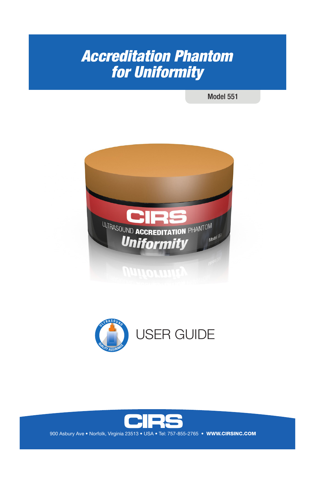# *Accreditation Phantom for Uniformity*

Model 551







900 Asbury Ave • Norfolk, Virginia 23513 • USA • Tel: 757-855-2765 • WWW.CIRSINC.COM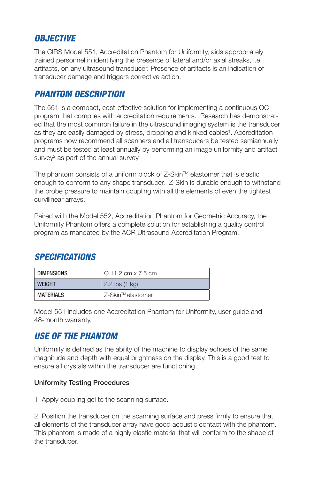# *OBJECTIVE*

The CIRS Model 551, Accreditation Phantom for Uniformity, aids appropriately trained personnel in identifying the presence of lateral and/or axial streaks, i.e. artifacts, on any ultrasound transducer. Presence of artifacts is an indication of transducer damage and triggers corrective action.

## *PHANTOM DESCRIPTION*

The 551 is a compact, cost-effective solution for implementing a continuous QC program that complies with accreditation requirements. Research has demonstrated that the most common failure in the ultrasound imaging system is the transducer as they are easily damaged by stress, dropping and kinked cables<sup>1</sup>. Accreditation programs now recommend all scanners and all transducers be tested semiannually and must be tested at least annually by performing an image uniformity and artifact survey $2$  as part of the annual survey.

The phantom consists of a uniform block of Z-Skin™ elastomer that is elastic enough to conform to any shape transducer. Z-Skin is durable enough to withstand the probe pressure to maintain coupling with all the elements of even the tightest curvilinear arrays.

Paired with the Model 552, Accreditation Phantom for Geometric Accuracy, the Uniformity Phantom offers a complete solution for establishing a quality control program as mandated by the ACR Ultrasound Accreditation Program.

# *SPECIFICATIONS*

| <b>DIMENSIONS</b> | $\varnothing$ 11.2 cm x 7.5 cm |
|-------------------|--------------------------------|
| <b>WEIGHT</b>     | $2.2$ lbs (1 kg)               |
| MATERIALS         | Z-Skin™elastomer               |

Model 551 includes one Accreditation Phantom for Uniformity, user guide and 48-month warranty.

# *USE OF THE PHANTOM*

Uniformity is defined as the ability of the machine to display echoes of the same magnitude and depth with equal brightness on the display. This is a good test to ensure all crystals within the transducer are functioning.

### Uniformity Testing Procedures

1. Apply coupling gel to the scanning surface.

2. Position the transducer on the scanning surface and press firmly to ensure that all elements of the transducer array have good acoustic contact with the phantom. This phantom is made of a highly elastic material that will conform to the shape of the transducer.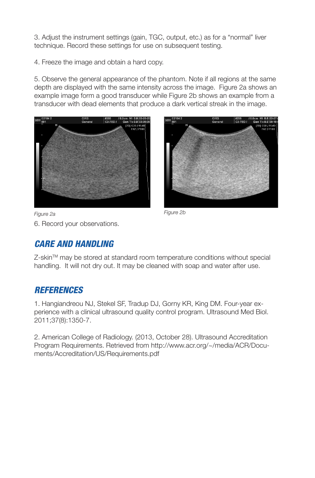3. Adjust the instrument settings (gain, TGC, output, etc.) as for a "normal" liver technique. Record these settings for use on subsequent testing.

4. Freeze the image and obtain a hard copy.

5. Observe the general appearance of the phantom. Note if all regions at the same depth are displayed with the same intensity across the image. Figure 2a shows an example image form a good transducer while Figure 2b shows an example from a transducer with dead elements that produce a dark vertical streak in the image.





6. Record your observations. *Figure 2a Figure 2b*

# *CARE AND HANDLING*

Z-skin™ may be stored at standard room temperature conditions without special handling. It will not dry out. It may be cleaned with soap and water after use.

# *REFERENCES*

1. Hangiandreou NJ, Stekel SF, Tradup DJ, Gorny KR, King DM. Four-year experience with a clinical ultrasound quality control program. Ultrasound Med Biol. 2011;37(8):1350-7.

2. American College of Radiology. (2013, October 28). Ultrasound Accreditation Program Requirements. Retrieved from http://www.acr.org/~/media/ACR/Documents/Accreditation/US/Requirements.pdf